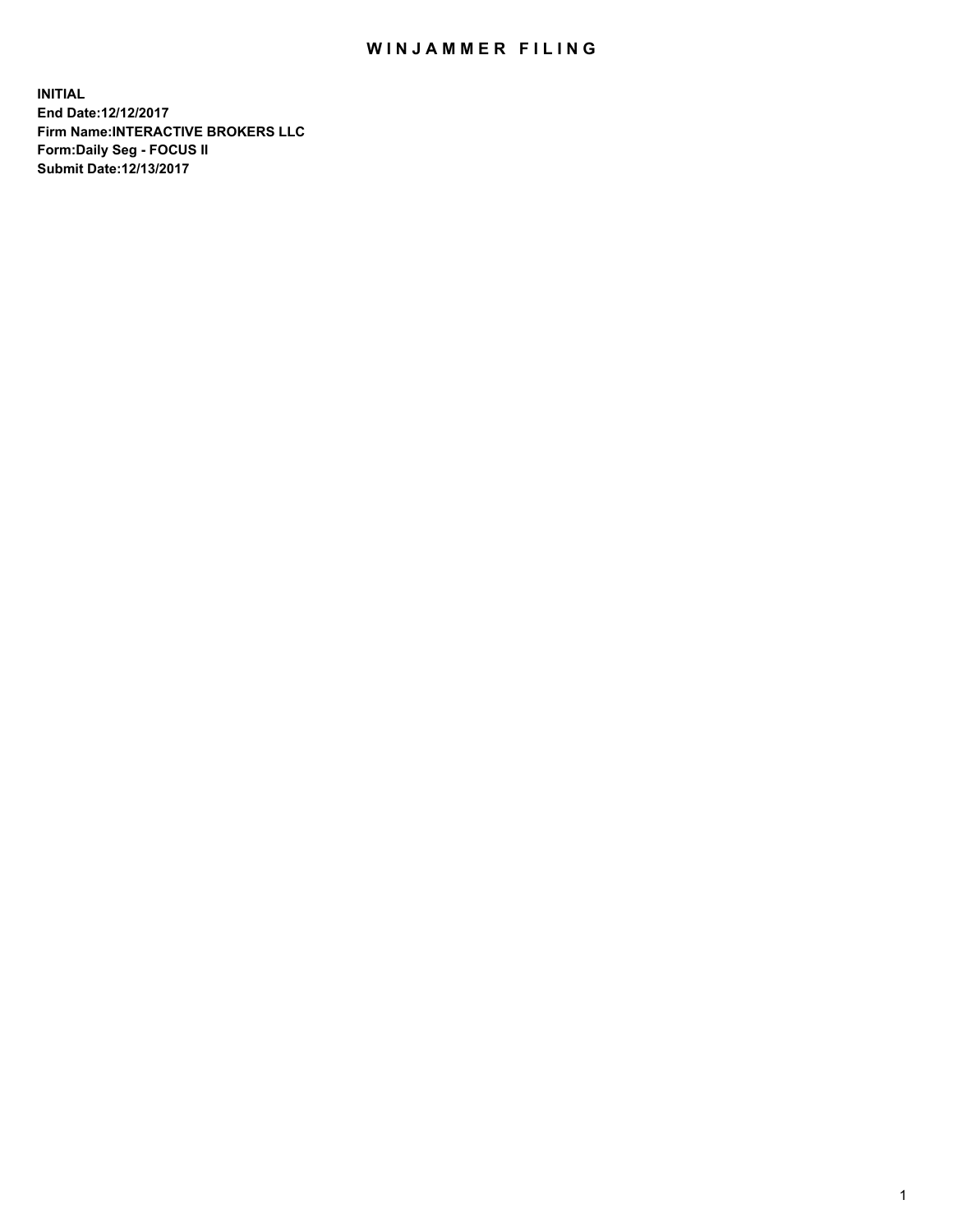## WIN JAMMER FILING

**INITIAL End Date:12/12/2017 Firm Name:INTERACTIVE BROKERS LLC Form:Daily Seg - FOCUS II Submit Date:12/13/2017**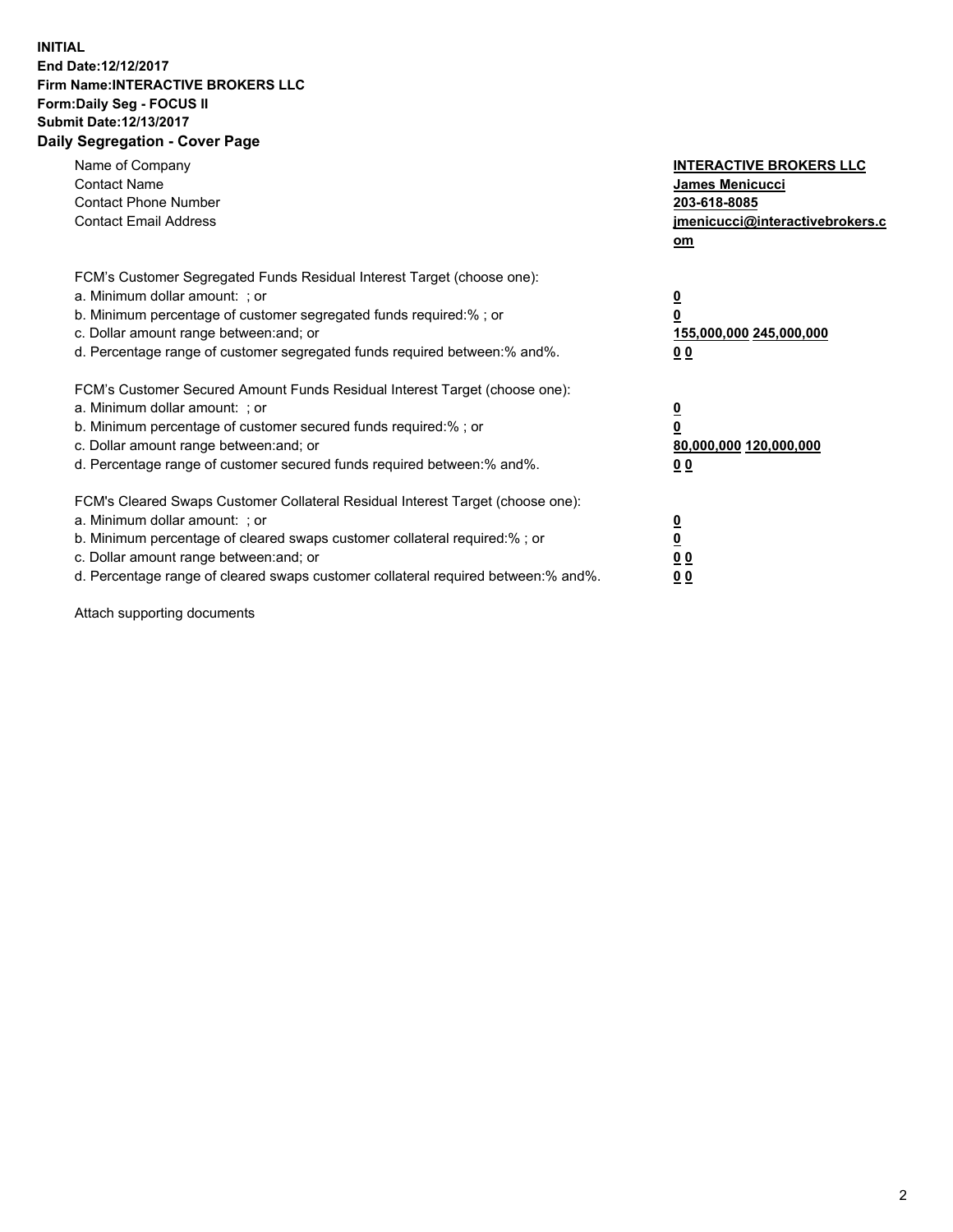## **INITIAL End Date:12/12/2017 Firm Name:INTERACTIVE BROKERS LLC Form:Daily Seg - FOCUS II Submit Date:12/13/2017 Daily Segregation - Cover Page**

| Name of Company<br><b>Contact Name</b><br><b>Contact Phone Number</b><br><b>Contact Email Address</b>                                                                                                                                                                                                                          | <b>INTERACTIVE BROKERS LLC</b><br><b>James Menicucci</b><br>203-618-8085<br>jmenicucci@interactivebrokers.c<br>om |
|--------------------------------------------------------------------------------------------------------------------------------------------------------------------------------------------------------------------------------------------------------------------------------------------------------------------------------|-------------------------------------------------------------------------------------------------------------------|
| FCM's Customer Segregated Funds Residual Interest Target (choose one):<br>a. Minimum dollar amount: ; or<br>b. Minimum percentage of customer segregated funds required:%; or<br>c. Dollar amount range between: and; or<br>d. Percentage range of customer segregated funds required between:% and%.                          | $\overline{\mathbf{0}}$<br>0<br>155,000,000 245,000,000<br>0 <sub>0</sub>                                         |
| FCM's Customer Secured Amount Funds Residual Interest Target (choose one):<br>a. Minimum dollar amount: ; or<br>b. Minimum percentage of customer secured funds required:%; or<br>c. Dollar amount range between: and; or<br>d. Percentage range of customer secured funds required between: % and %.                          | $\overline{\mathbf{0}}$<br>0<br>80,000,000 120,000,000<br>0 <sub>0</sub>                                          |
| FCM's Cleared Swaps Customer Collateral Residual Interest Target (choose one):<br>a. Minimum dollar amount: ; or<br>b. Minimum percentage of cleared swaps customer collateral required:% ; or<br>c. Dollar amount range between: and; or<br>d. Percentage range of cleared swaps customer collateral required between:% and%. | $\overline{\mathbf{0}}$<br>$\overline{\mathbf{0}}$<br>0 <sub>0</sub><br><u>00</u>                                 |

Attach supporting documents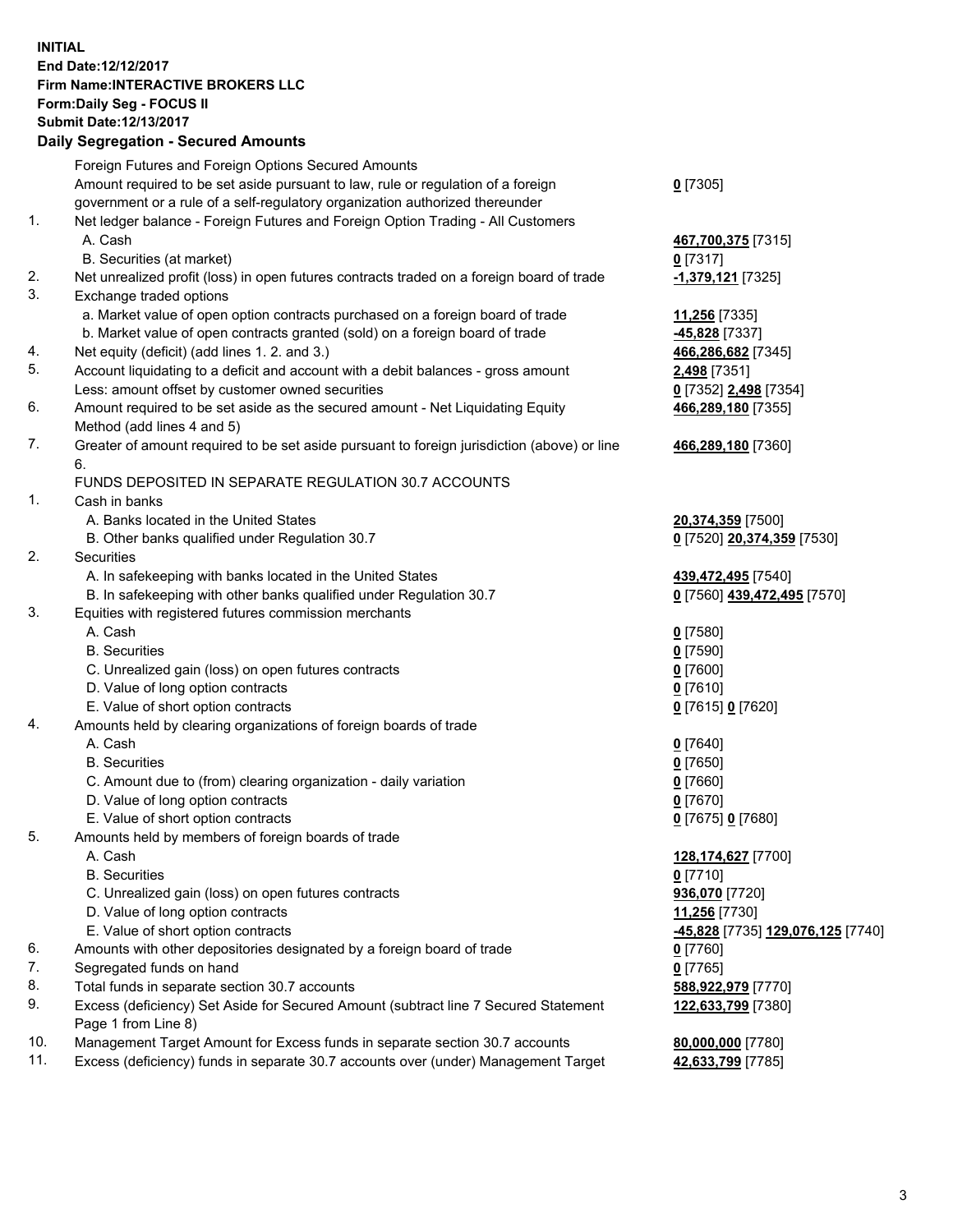## **INITIAL End Date:12/12/2017 Firm Name:INTERACTIVE BROKERS LLC Form:Daily Seg - FOCUS II Submit Date:12/13/2017 Daily Segregation - Secured Amounts**

|     | Daily Segregation - Secured Amounts                                                         |                                   |
|-----|---------------------------------------------------------------------------------------------|-----------------------------------|
|     | Foreign Futures and Foreign Options Secured Amounts                                         |                                   |
|     | Amount required to be set aside pursuant to law, rule or regulation of a foreign            | $0$ [7305]                        |
|     | government or a rule of a self-regulatory organization authorized thereunder                |                                   |
| 1.  | Net ledger balance - Foreign Futures and Foreign Option Trading - All Customers             |                                   |
|     | A. Cash                                                                                     | 467,700,375 [7315]                |
|     | B. Securities (at market)                                                                   | $0$ [7317]                        |
| 2.  | Net unrealized profit (loss) in open futures contracts traded on a foreign board of trade   | -1,379,121 [7325]                 |
| 3.  | Exchange traded options                                                                     |                                   |
|     | a. Market value of open option contracts purchased on a foreign board of trade              | 11,256 [7335]                     |
|     | b. Market value of open contracts granted (sold) on a foreign board of trade                | -45,828 [7337]                    |
| 4.  | Net equity (deficit) (add lines 1.2. and 3.)                                                | 466,286,682 [7345]                |
| 5.  | Account liquidating to a deficit and account with a debit balances - gross amount           | 2,498 [7351]                      |
|     | Less: amount offset by customer owned securities                                            | 0 [7352] 2,498 [7354]             |
| 6.  | Amount required to be set aside as the secured amount - Net Liquidating Equity              | 466,289,180 [7355]                |
|     | Method (add lines 4 and 5)                                                                  |                                   |
| 7.  |                                                                                             |                                   |
|     | Greater of amount required to be set aside pursuant to foreign jurisdiction (above) or line | 466,289,180 [7360]                |
|     | 6.<br>FUNDS DEPOSITED IN SEPARATE REGULATION 30.7 ACCOUNTS                                  |                                   |
| 1.  | Cash in banks                                                                               |                                   |
|     |                                                                                             |                                   |
|     | A. Banks located in the United States                                                       | 20,374,359 [7500]                 |
| 2.  | B. Other banks qualified under Regulation 30.7<br>Securities                                | 0 [7520] 20,374,359 [7530]        |
|     |                                                                                             |                                   |
|     | A. In safekeeping with banks located in the United States                                   | 439,472,495 [7540]                |
|     | B. In safekeeping with other banks qualified under Regulation 30.7                          | 0 [7560] 439,472,495 [7570]       |
| 3.  | Equities with registered futures commission merchants                                       |                                   |
|     | A. Cash                                                                                     | $0$ [7580]                        |
|     | <b>B.</b> Securities                                                                        | $0$ [7590]                        |
|     | C. Unrealized gain (loss) on open futures contracts                                         | $0$ [7600]                        |
|     | D. Value of long option contracts                                                           | $0$ [7610]                        |
|     | E. Value of short option contracts                                                          | 0 [7615] 0 [7620]                 |
| 4.  | Amounts held by clearing organizations of foreign boards of trade                           |                                   |
|     | A. Cash                                                                                     | $0$ [7640]                        |
|     | <b>B.</b> Securities                                                                        | $0$ [7650]                        |
|     | C. Amount due to (from) clearing organization - daily variation                             | $0$ [7660]                        |
|     | D. Value of long option contracts                                                           | $0$ [7670]                        |
|     | E. Value of short option contracts                                                          | 0 [7675] 0 [7680]                 |
| 5.  | Amounts held by members of foreign boards of trade                                          |                                   |
|     | A. Cash                                                                                     | 128,174,627 [7700]                |
|     | <b>B.</b> Securities                                                                        | $0$ [7710]                        |
|     | C. Unrealized gain (loss) on open futures contracts                                         | 936,070 [7720]                    |
|     | D. Value of long option contracts                                                           | 11,256 [7730]                     |
|     | E. Value of short option contracts                                                          | -45,828 [7735] 129,076,125 [7740] |
| 6.  | Amounts with other depositories designated by a foreign board of trade                      | $0$ [7760]                        |
| 7.  | Segregated funds on hand                                                                    | $0$ [7765]                        |
| 8.  | Total funds in separate section 30.7 accounts                                               | 588,922,979 [7770]                |
| 9.  | Excess (deficiency) Set Aside for Secured Amount (subtract line 7 Secured Statement         | 122,633,799 [7380]                |
|     | Page 1 from Line 8)                                                                         |                                   |
| 10. | Management Target Amount for Excess funds in separate section 30.7 accounts                 | 80,000,000 [7780]                 |
| 11. | Excess (deficiency) funds in separate 30.7 accounts over (under) Management Target          | 42,633,799 [7785]                 |
|     |                                                                                             |                                   |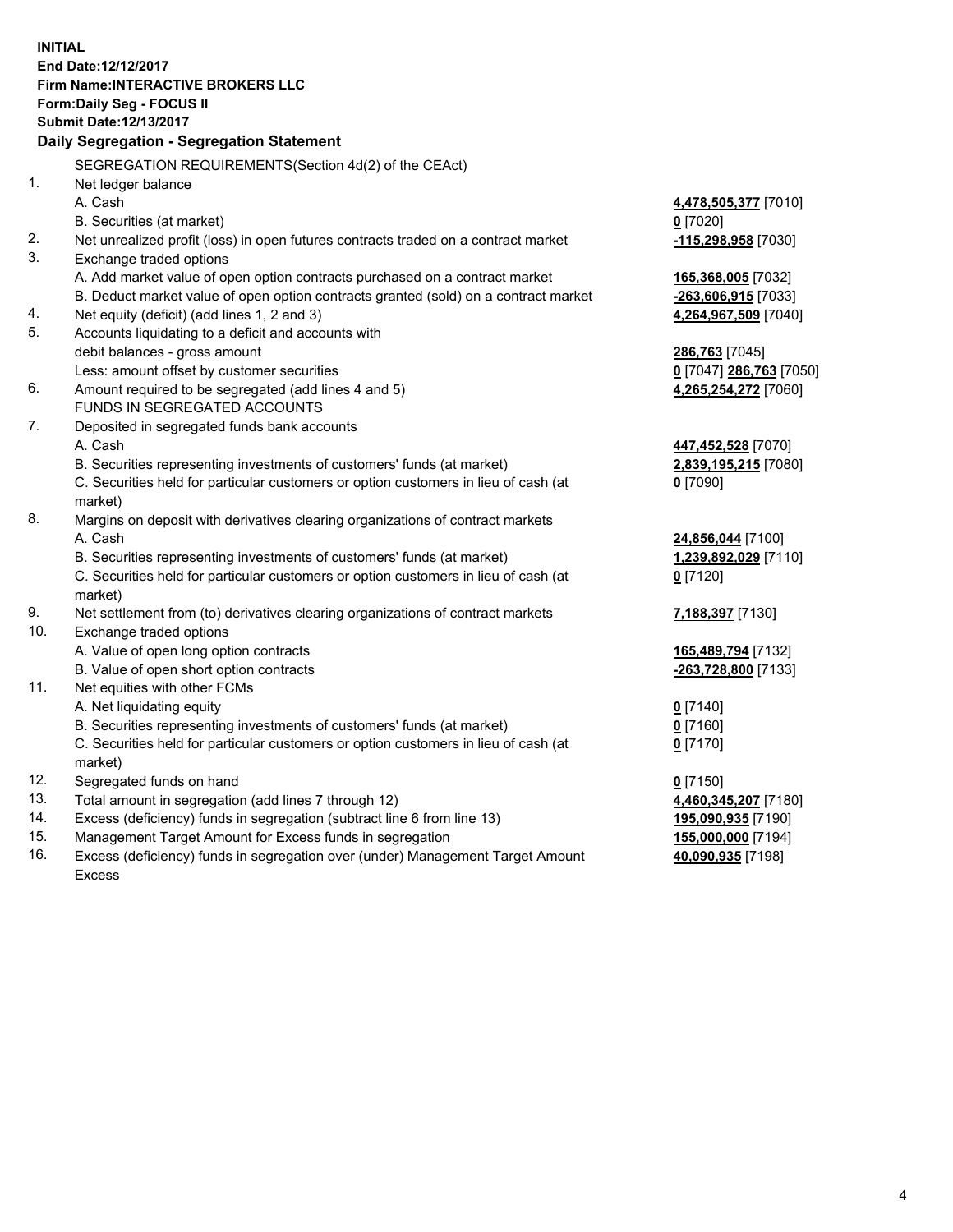**INITIAL End Date:12/12/2017 Firm Name:INTERACTIVE BROKERS LLC Form:Daily Seg - FOCUS II Submit Date:12/13/2017 Daily Segregation - Segregation Statement** SEGREGATION REQUIREMENTS(Section 4d(2) of the CEAct) 1. Net ledger balance A. Cash **4,478,505,377** [7010] B. Securities (at market) **0** [7020] 2. Net unrealized profit (loss) in open futures contracts traded on a contract market **-115,298,958** [7030] 3. Exchange traded options A. Add market value of open option contracts purchased on a contract market **165,368,005** [7032] B. Deduct market value of open option contracts granted (sold) on a contract market **-263,606,915** [7033] 4. Net equity (deficit) (add lines 1, 2 and 3) **4,264,967,509** [7040] 5. Accounts liquidating to a deficit and accounts with debit balances - gross amount **286,763** [7045] Less: amount offset by customer securities **0** [7047] **286,763** [7050] 6. Amount required to be segregated (add lines 4 and 5) **4,265,254,272** [7060] FUNDS IN SEGREGATED ACCOUNTS 7. Deposited in segregated funds bank accounts A. Cash **447,452,528** [7070] B. Securities representing investments of customers' funds (at market) **2,839,195,215** [7080] C. Securities held for particular customers or option customers in lieu of cash (at market) **0** [7090] 8. Margins on deposit with derivatives clearing organizations of contract markets A. Cash **24,856,044** [7100] B. Securities representing investments of customers' funds (at market) **1,239,892,029** [7110] C. Securities held for particular customers or option customers in lieu of cash (at market) **0** [7120] 9. Net settlement from (to) derivatives clearing organizations of contract markets **7,188,397** [7130] 10. Exchange traded options A. Value of open long option contracts **165,489,794** [7132] B. Value of open short option contracts **-263,728,800** [7133] 11. Net equities with other FCMs A. Net liquidating equity **0** [7140] B. Securities representing investments of customers' funds (at market) **0** [7160] C. Securities held for particular customers or option customers in lieu of cash (at market) **0** [7170] 12. Segregated funds on hand **0** [7150] 13. Total amount in segregation (add lines 7 through 12) **4,460,345,207** [7180] 14. Excess (deficiency) funds in segregation (subtract line 6 from line 13) **195,090,935** [7190] 15. Management Target Amount for Excess funds in segregation **155,000,000** [7194] **40,090,935** [7198]

16. Excess (deficiency) funds in segregation over (under) Management Target Amount Excess